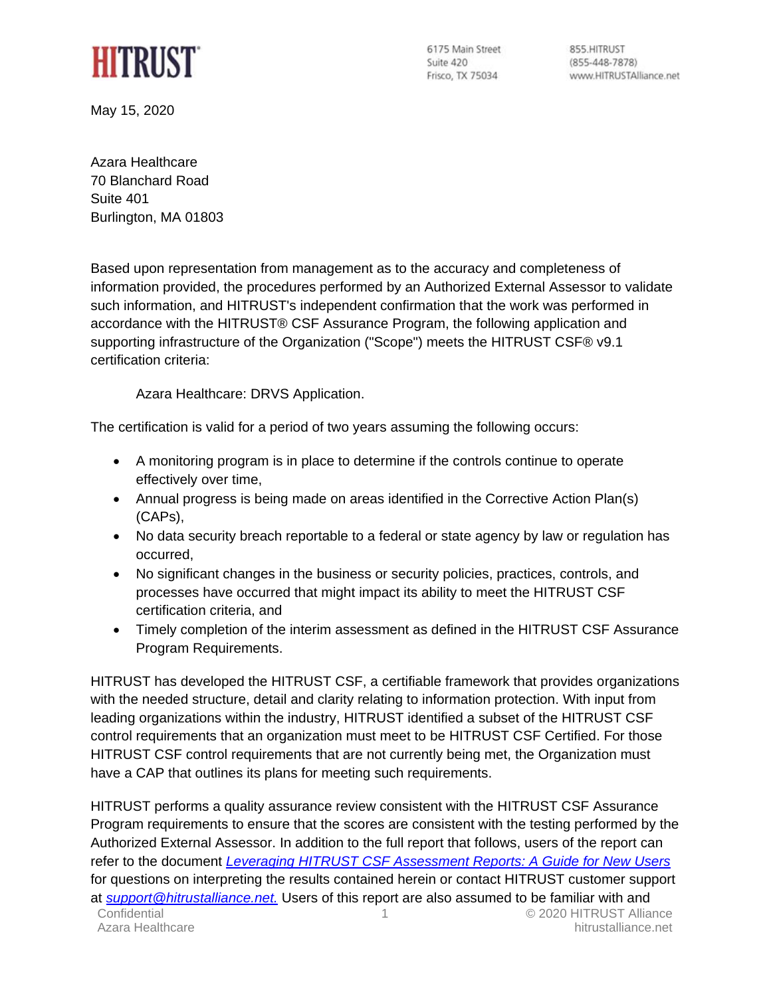

6175 Main Street Suite 420 Frisco, TX 75034

855 HITRUST  $(855-448-7878)$ www.HITRUSTAlliance.net

May 15, 2020

Azara Healthcare 70 Blanchard Road Suite 401 Burlington, MA 01803

Based upon representation from management as to the accuracy and completeness of information provided, the procedures performed by an Authorized External Assessor to validate such information, and HITRUST's independent confirmation that the work was performed in accordance with the HITRUST® CSF Assurance Program, the following application and supporting infrastructure of the Organization ("Scope") meets the HITRUST CSF® v9.1 certification criteria:

Azara Healthcare: DRVS Application.

The certification is valid for a period of two years assuming the following occurs:

- A monitoring program is in place to determine if the controls continue to operate effectively over time,
- Annual progress is being made on areas identified in the Corrective Action Plan(s) (CAPs),
- No data security breach reportable to a federal or state agency by law or regulation has occurred,
- No significant changes in the business or security policies, practices, controls, and processes have occurred that might impact its ability to meet the HITRUST CSF certification criteria, and
- Timely completion of the interim assessment as defined in the HITRUST CSF Assurance Program Requirements.

HITRUST has developed the HITRUST CSF, a certifiable framework that provides organizations with the needed structure, detail and clarity relating to information protection. With input from leading organizations within the industry, HITRUST identified a subset of the HITRUST CSF control requirements that an organization must meet to be HITRUST CSF Certified. For those HITRUST CSF control requirements that are not currently being met, the Organization must have a CAP that outlines its plans for meeting such requirements.

Confidential 1 © 2020 HITRUST Alliance Azara Healthcare **hitrustalliance**.net HITRUST performs a quality assurance review consistent with the HITRUST CSF Assurance Program requirements to ensure that the scores are consistent with the testing performed by the Authorized External Assessor. In addition to the full report that follows, users of the report can refer to the document *[Leveraging HITRUST CSF Assessment Reports: A Guide for New Users](https://hitrustalliance.net/content/uploads/Leveraging-CSF-v9-Assessment-Reports.pdf)* for questions on interpreting the results contained herein or contact HITRUST customer support at *[support@hitrustalliance.net.](mailto:support@hitrustalliance.net)* Users of this report are also assumed to be familiar with and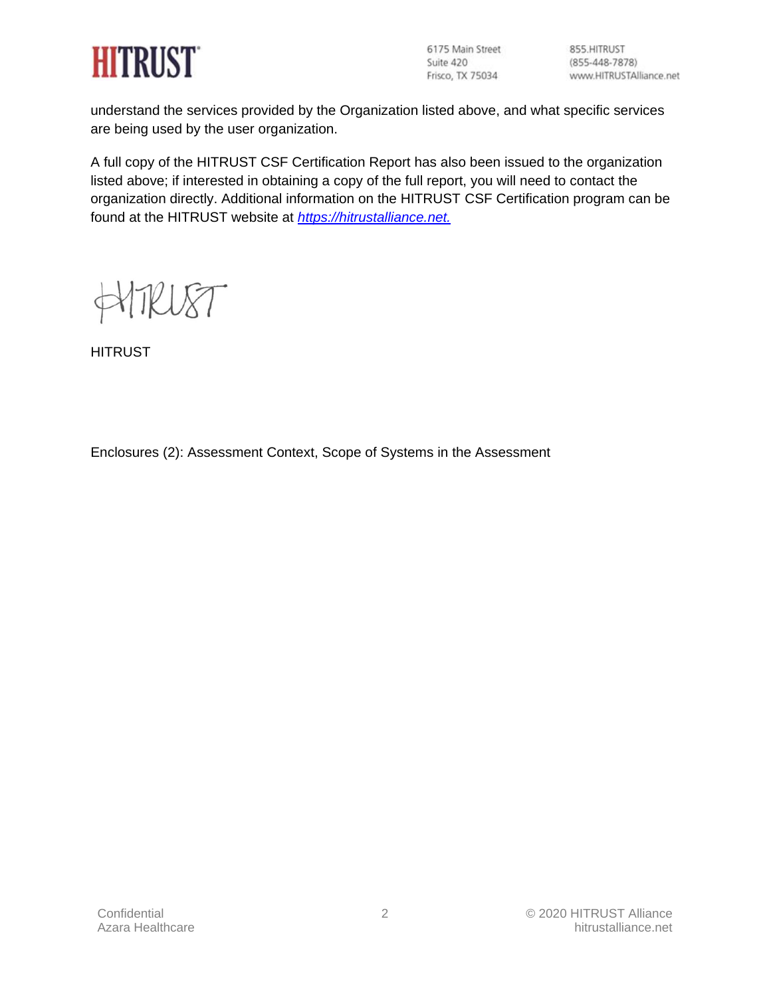

6175 Main Street Suite 420<br>Frisco, TX 75034

855.HITRUST  $(855 - 448 - 7878)$ www.HITRUSTAlliance.net

understand the services provided by the Organization listed above, and what specific services are being used by the user organization.

A full copy of the HITRUST CSF Certification Report has also been issued to the organization listed above; if interested in obtaining a copy of the full report, you will need to contact the organization directly. Additional information on the HITRUST CSF Certification program can be found at the HITRUST website at *[https://hitrustalliance.net.](https://hitrustalliance.net/)*

W8T

**HITRUST** 

Enclosures (2): Assessment Context, Scope of Systems in the Assessment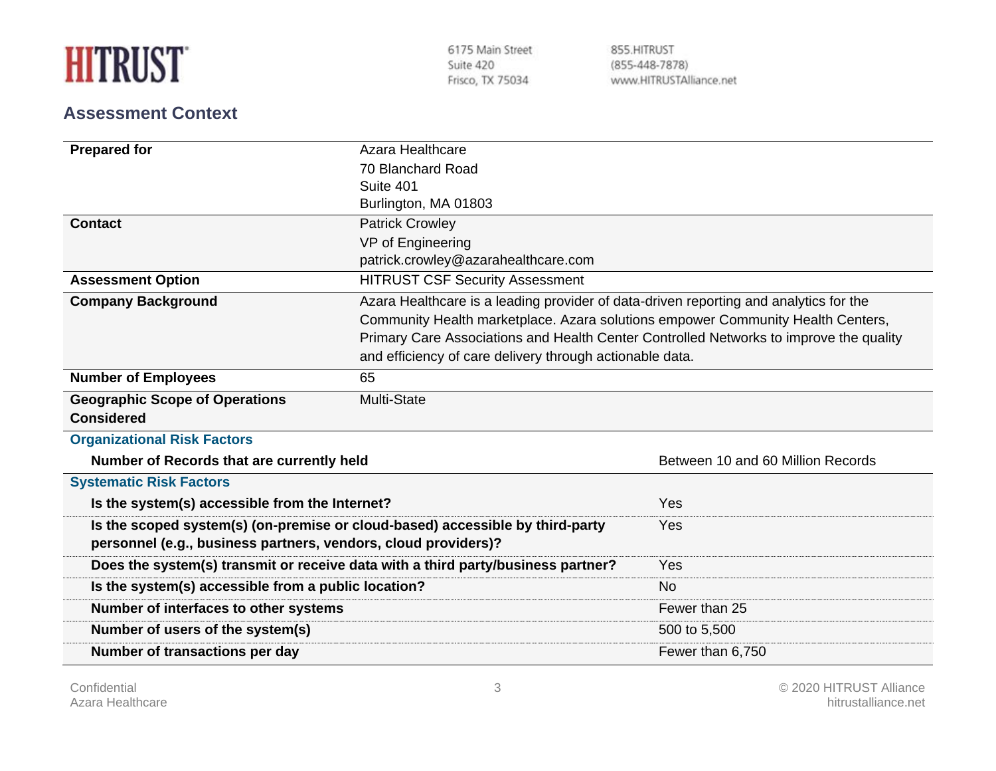| <b>HITRUST</b> |  |  |
|----------------|--|--|
|                |  |  |

6175 Main Street Suite 420 Frisco, TX 75034

855.HITRUST  $(855 - 448 - 7878)$ www.HITRUSTAlliance.net

## **Assessment Context**

| <b>Prepared for</b>                                                              | Azara Healthcare                                                                       |                                   |  |  |  |
|----------------------------------------------------------------------------------|----------------------------------------------------------------------------------------|-----------------------------------|--|--|--|
|                                                                                  | 70 Blanchard Road                                                                      |                                   |  |  |  |
|                                                                                  | Suite 401                                                                              |                                   |  |  |  |
|                                                                                  | Burlington, MA 01803                                                                   |                                   |  |  |  |
| <b>Contact</b>                                                                   | <b>Patrick Crowley</b>                                                                 |                                   |  |  |  |
|                                                                                  | VP of Engineering                                                                      |                                   |  |  |  |
|                                                                                  | patrick.crowley@azarahealthcare.com                                                    |                                   |  |  |  |
| <b>Assessment Option</b>                                                         | <b>HITRUST CSF Security Assessment</b>                                                 |                                   |  |  |  |
| <b>Company Background</b>                                                        | Azara Healthcare is a leading provider of data-driven reporting and analytics for the  |                                   |  |  |  |
|                                                                                  | Community Health marketplace. Azara solutions empower Community Health Centers,        |                                   |  |  |  |
|                                                                                  | Primary Care Associations and Health Center Controlled Networks to improve the quality |                                   |  |  |  |
|                                                                                  | and efficiency of care delivery through actionable data.                               |                                   |  |  |  |
| <b>Number of Employees</b>                                                       | 65                                                                                     |                                   |  |  |  |
| <b>Geographic Scope of Operations</b>                                            | Multi-State                                                                            |                                   |  |  |  |
| <b>Considered</b>                                                                |                                                                                        |                                   |  |  |  |
| <b>Organizational Risk Factors</b>                                               |                                                                                        |                                   |  |  |  |
| Number of Records that are currently held                                        |                                                                                        | Between 10 and 60 Million Records |  |  |  |
| <b>Systematic Risk Factors</b>                                                   |                                                                                        |                                   |  |  |  |
| Is the system(s) accessible from the Internet?                                   |                                                                                        | Yes                               |  |  |  |
| Is the scoped system(s) (on-premise or cloud-based) accessible by third-party    |                                                                                        | Yes                               |  |  |  |
| personnel (e.g., business partners, vendors, cloud providers)?                   |                                                                                        |                                   |  |  |  |
| Does the system(s) transmit or receive data with a third party/business partner? | Yes                                                                                    |                                   |  |  |  |
| Is the system(s) accessible from a public location?                              |                                                                                        | <b>No</b>                         |  |  |  |
| Number of interfaces to other systems                                            | Fewer than 25                                                                          |                                   |  |  |  |
| Number of users of the system(s)                                                 | 500 to 5,500                                                                           |                                   |  |  |  |
| Number of transactions per day                                                   | Fewer than 6,750                                                                       |                                   |  |  |  |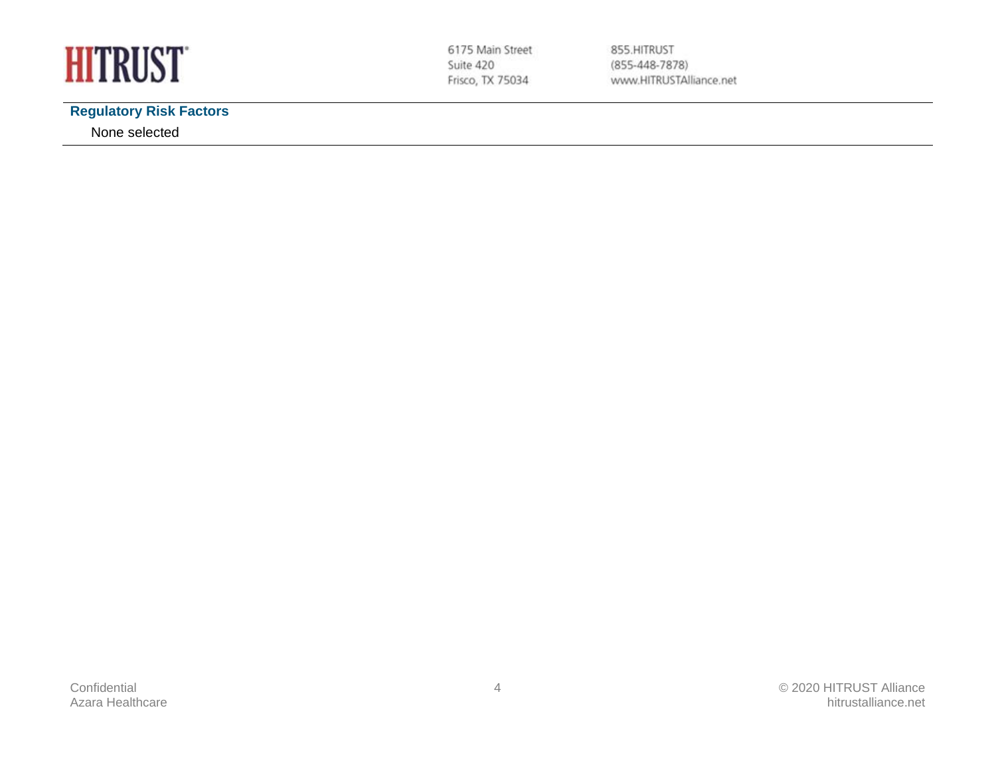

### **Regulatory Risk Factors**

None selected

855.HITRUST  $(855-448-7878)$ www.HITRUSTAlliance.net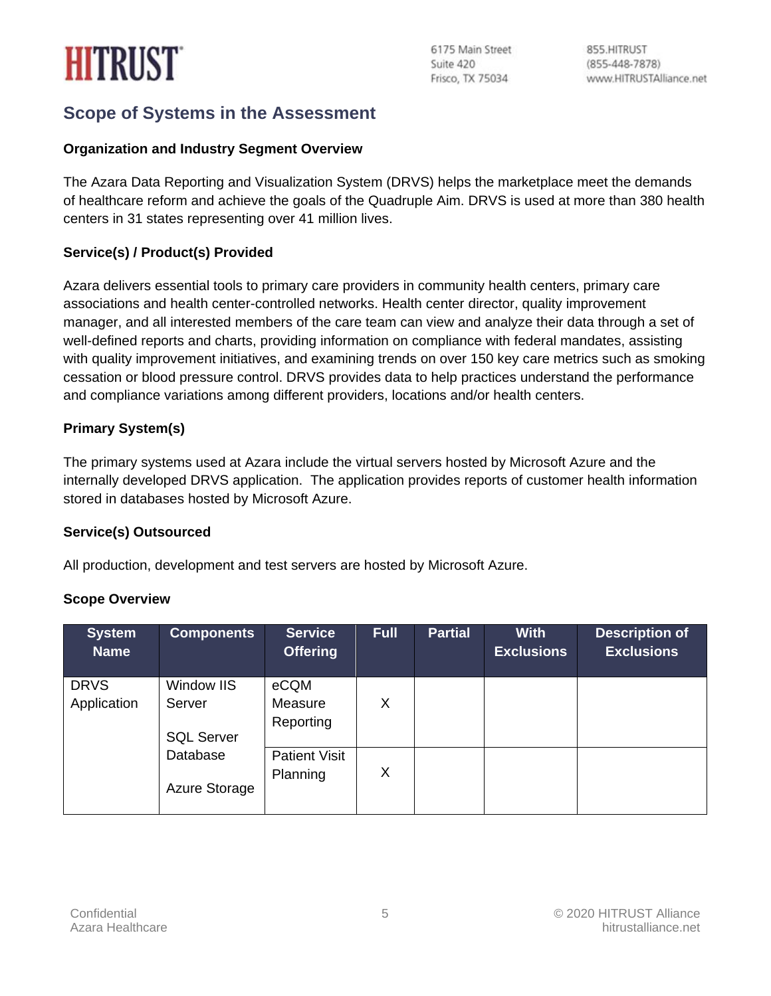# **HITRUST**

## **Scope of Systems in the Assessment**

#### **Organization and Industry Segment Overview**

The Azara Data Reporting and Visualization System (DRVS) helps the marketplace meet the demands of healthcare reform and achieve the goals of the Quadruple Aim. DRVS is used at more than 380 health centers in 31 states representing over 41 million lives.

#### **Service(s) / Product(s) Provided**

Azara delivers essential tools to primary care providers in community health centers, primary care associations and health center-controlled networks. Health center director, quality improvement manager, and all interested members of the care team can view and analyze their data through a set of well-defined reports and charts, providing information on compliance with federal mandates, assisting with quality improvement initiatives, and examining trends on over 150 key care metrics such as smoking cessation or blood pressure control. DRVS provides data to help practices understand the performance and compliance variations among different providers, locations and/or health centers.

#### **Primary System(s)**

The primary systems used at Azara include the virtual servers hosted by Microsoft Azure and the internally developed DRVS application. The application provides reports of customer health information stored in databases hosted by Microsoft Azure.

#### **Service(s) Outsourced**

All production, development and test servers are hosted by Microsoft Azure.

#### **Scope Overview**

| <b>System</b><br><b>Name</b> | <b>Components</b>         | <b>Service</b><br><b>Offering</b> | <b>Full</b> | Partial | <b>With</b><br><b>Exclusions</b> | <b>Description of</b><br><b>Exclusions</b> |
|------------------------------|---------------------------|-----------------------------------|-------------|---------|----------------------------------|--------------------------------------------|
| <b>DRVS</b>                  | Window IIS                | eCQM                              |             |         |                                  |                                            |
| Application                  | Server                    | Measure<br>Reporting              | X           |         |                                  |                                            |
|                              | <b>SQL Server</b>         |                                   |             |         |                                  |                                            |
|                              | Database<br>Azure Storage | <b>Patient Visit</b><br>Planning  | X           |         |                                  |                                            |